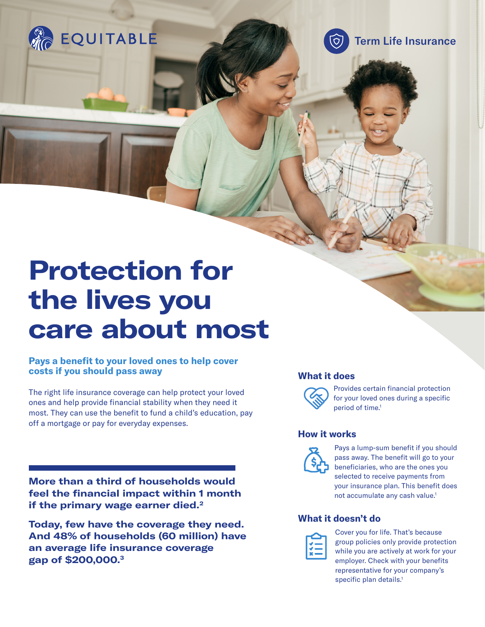

Term Life Insurance

তি)

# **Protection for the lives you care about most**

### **Pays a benefit to your loved ones to help cover costs if you should pass away**

The right life insurance coverage can help protect your loved ones and help provide financial stability when they need it most. They can use the benefit to fund a child's education, pay off a mortgage or pay for everyday expenses.

**More than a third of households would feel the financial impact within 1 month if the primary wage earner died.2** 

**Today, few have the coverage they need. And 48% of households (60 million) have an average life insurance coverage gap of \$200,000.3**

#### **What it does**



Provides certain financial protection for your loved ones during a specific period of time.<sup>1</sup>

#### **How it works**



Pays a lump-sum benefit if you should pass away. The benefit will go to your beneficiaries, who are the ones you selected to receive payments from your insurance plan. This benefit does not accumulate any cash value.<sup>1</sup>

## **What it doesn't do**



Cover you for life. That's because group policies only provide protection while you are actively at work for your employer. Check with your benefits representative for your company's specific plan details.<sup>1</sup>